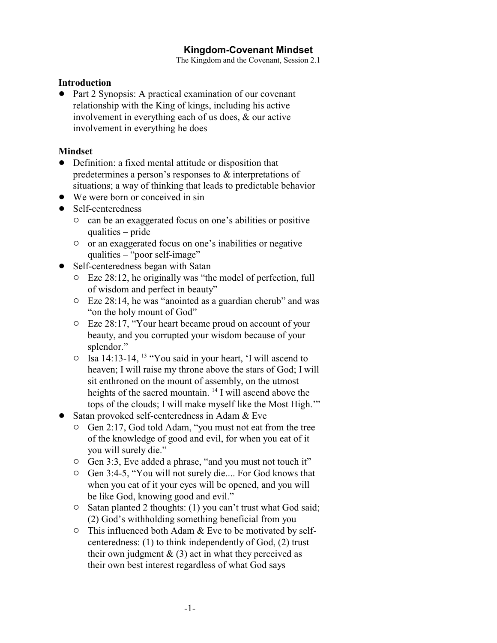# **Kingdom-Covenant Mindset**

The Kingdom and the Covenant, Session 2.1

#### **Introduction**

! Part 2 Synopsis: A practical examination of our covenant relationship with the King of kings, including his active involvement in everything each of us does, & our active involvement in everything he does

#### **Mindset**

- Definition: a fixed mental attitude or disposition that predetermines a person's responses to & interpretations of situations; a way of thinking that leads to predictable behavior
- We were born or conceived in sin
- Self-centeredness
	- <sup>o</sup> can be an exaggerated focus on one's abilities or positive qualities – pride
	- $\circ$  or an exaggerated focus on one's inabilities or negative qualities – "poor self-image"
- Self-centeredness began with Satan
	- $\circ$  Eze 28:12, he originally was "the model of perfection, full of wisdom and perfect in beauty"
	- $\circ$  Eze 28:14, he was "anointed as a guardian cherub" and was "on the holy mount of God"
	- $\circ$  Eze 28:17, "Your heart became proud on account of your beauty, and you corrupted your wisdom because of your splendor."
	- $\circ$  Isa 14:13-14, <sup>13</sup> "You said in your heart, 'I will ascend to heaven; I will raise my throne above the stars of God; I will sit enthroned on the mount of assembly, on the utmost heights of the sacred mountain.<sup>14</sup> I will ascend above the tops of the clouds; I will make myself like the Most High.'"
- Satan provoked self-centeredness in Adam & Eve
	- <sup>o</sup> Gen 2:17, God told Adam, "you must not eat from the tree of the knowledge of good and evil, for when you eat of it you will surely die."
	- $\circ$  Gen 3:3, Eve added a phrase, "and you must not touch it"
	- <sup>o</sup> Gen 3:4-5, "You will not surely die.... For God knows that when you eat of it your eyes will be opened, and you will be like God, knowing good and evil."
	- $\circ$  Satan planted 2 thoughts: (1) you can't trust what God said; (2) God's withholding something beneficial from you
	- $\circ$  This influenced both Adam & Eve to be motivated by selfcenteredness: (1) to think independently of God, (2) trust their own judgment  $\&$  (3) act in what they perceived as their own best interest regardless of what God says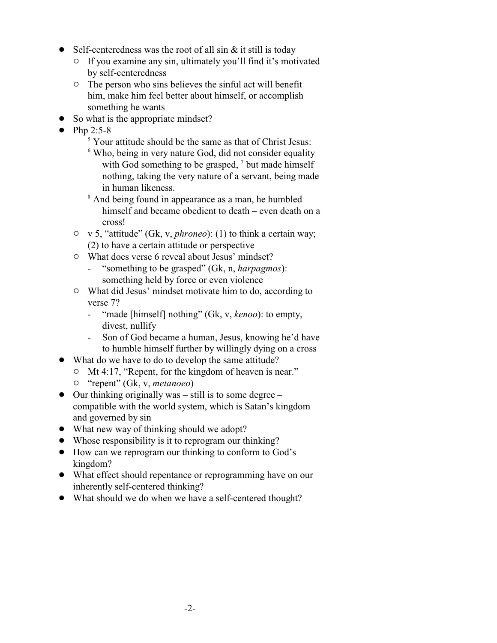- Self-centeredness was the root of all sin  $&$  it still is today
	- $\circ$  If you examine any sin, ultimately you'll find it's motivated by self-centeredness
	- $\circ$  The person who sins believes the sinful act will benefit him, make him feel better about himself, or accomplish something he wants
- So what is the appropriate mindset?
- Php 2:5-8
	- <sup>5</sup> Your attitude should be the same as that of Christ Jesus:
	- <sup>6</sup> Who, being in very nature God, did not consider equality with God something to be grasped,  $\frac{7}{1}$  but made himself nothing, taking the very nature of a servant, being made in human likeness.
	- <sup>8</sup> And being found in appearance as a man, he humbled himself and became obedient to death – even death on a cross!
	- " v 5, "attitude" (Gk, v, *phroneo*): (1) to think a certain way; (2) to have a certain attitude or perspective
	- $\circ$  What does verse 6 reveal about Jesus' mindset?
		- "something to be grasped" (Gk, n, *harpagmos*): something held by force or even violence
	- $\circ$  What did Jesus' mindset motivate him to do, according to verse 7?
		- "made [himself] nothing" (Gk, v, *kenoo*): to empty, divest, nullify
		- Son of God became a human, Jesus, knowing he'd have to humble himself further by willingly dying on a cross
- What do we have to do to develop the same attitude?
- Mt 4:17, "Repent, for the kingdom of heaven is near."
	- " "repent" (Gk, v, *metanoeo*)
- $\bullet$  Our thinking originally was still is to some degree compatible with the world system, which is Satan's kingdom and governed by sin
- What new way of thinking should we adopt?
- Whose responsibility is it to reprogram our thinking?
- ! How can we reprogram our thinking to conform to God's kingdom?
- What effect should repentance or reprogramming have on our inherently self-centered thinking?
- ! What should we do when we have a self-centered thought?